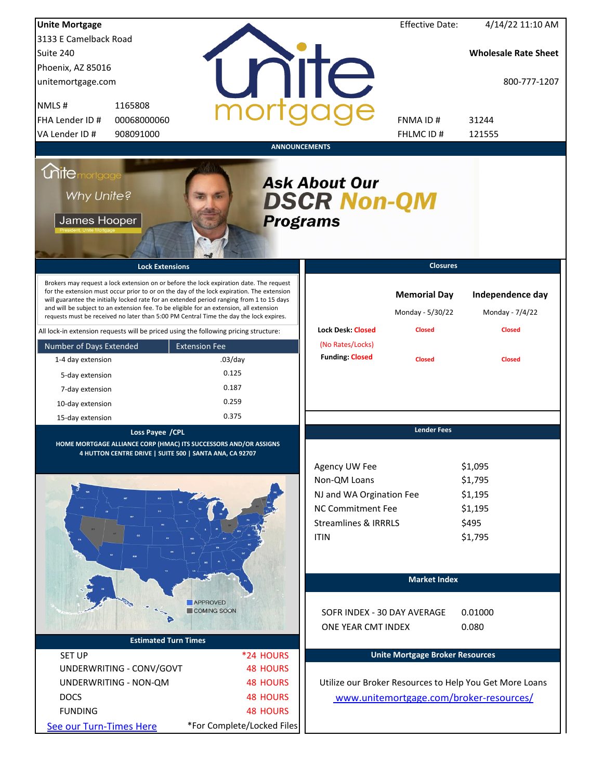| <b>Unite Mortgage</b>                             |                                                                                                                                                                                                                                                                                                                                                                                                                                                                        |                              |                                                                                                                                  | <b>Effective Date:</b>                  | 4/14/22 11:10 AM                                             |
|---------------------------------------------------|------------------------------------------------------------------------------------------------------------------------------------------------------------------------------------------------------------------------------------------------------------------------------------------------------------------------------------------------------------------------------------------------------------------------------------------------------------------------|------------------------------|----------------------------------------------------------------------------------------------------------------------------------|-----------------------------------------|--------------------------------------------------------------|
| 3133 E Camelback Road                             |                                                                                                                                                                                                                                                                                                                                                                                                                                                                        |                              |                                                                                                                                  |                                         |                                                              |
| Suite 240                                         |                                                                                                                                                                                                                                                                                                                                                                                                                                                                        |                              |                                                                                                                                  |                                         | <b>Wholesale Rate Sheet</b>                                  |
| Phoenix, AZ 85016                                 |                                                                                                                                                                                                                                                                                                                                                                                                                                                                        |                              |                                                                                                                                  |                                         |                                                              |
| unitemortgage.com                                 |                                                                                                                                                                                                                                                                                                                                                                                                                                                                        |                              | nite                                                                                                                             |                                         | 800-777-1207                                                 |
| NMLS#                                             | 1165808                                                                                                                                                                                                                                                                                                                                                                                                                                                                |                              |                                                                                                                                  |                                         |                                                              |
| FHA Lender ID #                                   | 00068000060                                                                                                                                                                                                                                                                                                                                                                                                                                                            |                              |                                                                                                                                  | FNMA ID#                                | 31244                                                        |
| VA Lender ID #                                    | 908091000                                                                                                                                                                                                                                                                                                                                                                                                                                                              |                              |                                                                                                                                  | FHLMC ID#                               | 121555                                                       |
|                                                   |                                                                                                                                                                                                                                                                                                                                                                                                                                                                        | <b>ANNOUNCEMENTS</b>         |                                                                                                                                  |                                         |                                                              |
| <b>Mitemortgage</b><br>Why Unite?<br>James Hooper |                                                                                                                                                                                                                                                                                                                                                                                                                                                                        | <b>Programs</b>              | <b>Ask About Our</b><br><b>DSCR Non-QM</b>                                                                                       |                                         |                                                              |
|                                                   | <b>Lock Extensions</b>                                                                                                                                                                                                                                                                                                                                                                                                                                                 |                              |                                                                                                                                  | <b>Closures</b>                         |                                                              |
|                                                   | Brokers may request a lock extension on or before the lock expiration date. The request<br>for the extension must occur prior to or on the day of the lock expiration. The extension<br>will guarantee the initially locked rate for an extended period ranging from 1 to 15 days<br>and will be subject to an extension fee. To be eligible for an extension, all extension<br>requests must be received no later than 5:00 PM Central Time the day the lock expires. |                              |                                                                                                                                  | <b>Memorial Day</b><br>Monday - 5/30/22 | Independence day<br>Monday - 7/4/22                          |
|                                                   | All lock-in extension requests will be priced using the following pricing structure:                                                                                                                                                                                                                                                                                                                                                                                   |                              | <b>Lock Desk: Closed</b>                                                                                                         | <b>Closed</b>                           | <b>Closed</b>                                                |
| Number of Days Extended                           | <b>Extension Fee</b>                                                                                                                                                                                                                                                                                                                                                                                                                                                   |                              | (No Rates/Locks)                                                                                                                 |                                         |                                                              |
| 1-4 day extension                                 |                                                                                                                                                                                                                                                                                                                                                                                                                                                                        | $.03$ /day                   | <b>Funding: Closed</b>                                                                                                           | <b>Closed</b>                           | <b>Closed</b>                                                |
| 5-day extension                                   |                                                                                                                                                                                                                                                                                                                                                                                                                                                                        | 0.125                        |                                                                                                                                  |                                         |                                                              |
| 7-day extension                                   |                                                                                                                                                                                                                                                                                                                                                                                                                                                                        | 0.187                        |                                                                                                                                  |                                         |                                                              |
| 10-day extension                                  |                                                                                                                                                                                                                                                                                                                                                                                                                                                                        | 0.259                        |                                                                                                                                  |                                         |                                                              |
| 15-day extension                                  |                                                                                                                                                                                                                                                                                                                                                                                                                                                                        | 0.375                        |                                                                                                                                  |                                         |                                                              |
|                                                   | Loss Payee / CPL<br>HOME MORTGAGE ALLIANCE CORP (HMAC) ITS SUCCESSORS AND/OR ASSIGNS<br>4 HUTTON CENTRE DRIVE   SUITE 500   SANTA ANA, CA 92707                                                                                                                                                                                                                                                                                                                        |                              | Agency UW Fee<br>Non-QM Loans<br>NJ and WA Orgination Fee<br>NC Commitment Fee<br><b>Streamlines &amp; IRRRLS</b><br><b>ITIN</b> | <b>Lender Fees</b>                      | \$1,095<br>\$1,795<br>\$1,195<br>\$1,195<br>\$495<br>\$1,795 |
|                                                   | <b>APPROVED</b><br>COMING SOON                                                                                                                                                                                                                                                                                                                                                                                                                                         |                              |                                                                                                                                  | <b>Market Index</b>                     |                                                              |
|                                                   |                                                                                                                                                                                                                                                                                                                                                                                                                                                                        |                              | SOFR INDEX - 30 DAY AVERAGE                                                                                                      |                                         | 0.01000                                                      |
|                                                   | <b>Estimated Turn Times</b>                                                                                                                                                                                                                                                                                                                                                                                                                                            |                              | ONE YEAR CMT INDEX                                                                                                               |                                         | 0.080                                                        |
|                                                   |                                                                                                                                                                                                                                                                                                                                                                                                                                                                        |                              |                                                                                                                                  | <b>Unite Mortgage Broker Resources</b>  |                                                              |
| <b>SET UP</b>                                     | UNDERWRITING - CONV/GOVT                                                                                                                                                                                                                                                                                                                                                                                                                                               | *24 HOURS<br><b>48 HOURS</b> |                                                                                                                                  |                                         |                                                              |
|                                                   |                                                                                                                                                                                                                                                                                                                                                                                                                                                                        |                              |                                                                                                                                  |                                         |                                                              |
| UNDERWRITING - NON-QM                             |                                                                                                                                                                                                                                                                                                                                                                                                                                                                        | <b>48 HOURS</b>              |                                                                                                                                  |                                         | Utilize our Broker Resources to Help You Get More Loans      |
| <b>DOCS</b>                                       |                                                                                                                                                                                                                                                                                                                                                                                                                                                                        | <b>48 HOURS</b>              |                                                                                                                                  |                                         | www.unitemortgage.com/broker-resources/                      |
| <b>FUNDING</b>                                    |                                                                                                                                                                                                                                                                                                                                                                                                                                                                        | <b>48 HOURS</b>              |                                                                                                                                  |                                         |                                                              |
| See our Turn-Times Here                           |                                                                                                                                                                                                                                                                                                                                                                                                                                                                        | *For Complete/Locked Files   |                                                                                                                                  |                                         |                                                              |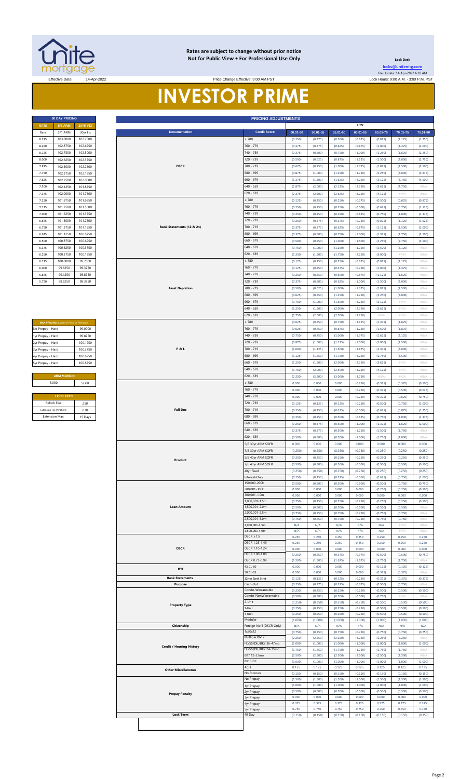

#### **Rates are subject to change without prior notice Not for Public View • For Professional Use Only**

**PRICING ADJUSTMENT** 

**Documentation Credit Score**

**Lock Desk** [locks@unitemtg](mailto:locks@unitemtg.com).com File Update: 14-Apr-2022 6:38 AM

Rate 5/1 ARM 30yr Fix **00.01-50 50.01-55 55.01-60 60.01-65 65.01-70 70.01-75 75.01-80**

**LTV**

#### Effective Date: 14-Apr-2022 Lock Hours: 9:00 A.M. - 3:00 P.M. PST **INVESTOR PRIME** Price Change Effective: 9:00 AM PST

| <b>30 DAY PRICING</b> |                 |          |  |  |  |  |  |
|-----------------------|-----------------|----------|--|--|--|--|--|
| <b>RATE</b>           | <b>30YR FIX</b> |          |  |  |  |  |  |
| Rate                  | 5/1 ARM         | 30yr Fix |  |  |  |  |  |
| 8.375                 | 103.0000        | 102.7500 |  |  |  |  |  |
| 8.250                 | 102.8750        | 102.6250 |  |  |  |  |  |
| 8.125                 | 102.7500        | 102.5000 |  |  |  |  |  |
| 8,000                 | 102.6250        | 102.3750 |  |  |  |  |  |
| 7.875                 | 102.5000        | 102.2500 |  |  |  |  |  |
| 7.750                 | 102.3750        | 102.1250 |  |  |  |  |  |
| 7.625                 | 102.2500        | 102.0000 |  |  |  |  |  |
| 7.500                 | 102.1250        | 101.8750 |  |  |  |  |  |
| 7.375                 | 102.0000        | 101.7500 |  |  |  |  |  |
| 7.250                 | 101.8750        | 101.6250 |  |  |  |  |  |
| 7.125                 | 101.7500        | 101.5000 |  |  |  |  |  |
| 7.000                 | 101.6250        | 101.3750 |  |  |  |  |  |
| 6.875                 | 101.5000        | 101.2500 |  |  |  |  |  |
| 6.750                 | 101.3750        | 101.1250 |  |  |  |  |  |
| 6.625                 | 101.1250        | 100.8750 |  |  |  |  |  |
| 6.500                 | 100.8750        | 100.6250 |  |  |  |  |  |
| 6.375                 | 100.6250        | 100.3750 |  |  |  |  |  |
| 6.250                 | 100.3750        | 100.1250 |  |  |  |  |  |
| 6.125                 | 100.0000        | 99.7500  |  |  |  |  |  |
| 6.000                 | 99.6250         | 99.3750  |  |  |  |  |  |
| 5.875                 | 99.1250         | 98.8750  |  |  |  |  |  |
| 5.750                 | 98.6250         | 98.3750  |  |  |  |  |  |

| <b>MAX PRICING (Lower of Price or Premium)</b> |          |
|------------------------------------------------|----------|
| No Prepay - Hard                               | 99.0000  |
| 1yr Prepay - Hard                              | 99 8750  |
| 2yr Prepay - Hard                              | 100 1250 |
| 3yr Prepay - Hard                              | 100 3750 |
| 4yr Prepay - Hard                              | 100 6250 |
| 5yr Prepay - Hard                              | 100.8750 |
|                                                |          |
| <b>ARM MARGIN</b>                              |          |
| 5.000                                          | SOFR     |
|                                                |          |
| <b>LOCK FEES</b>                               |          |
| Relock Fee:                                    | 250      |

| 8.250                         |                                         | 102.7500 |                                 | $\geq 780$                | (0.250)        | (0.375)        | (0.500)        | (0.625)        | (0.875)        | (1.125)        | (1.750)        |
|-------------------------------|-----------------------------------------|----------|---------------------------------|---------------------------|----------------|----------------|----------------|----------------|----------------|----------------|----------------|
|                               | 102.8750                                | 102.6250 |                                 | 760 - 779                 | (0.375)        | (0.375)        | (0.625)        | (0.875)        | (1.000)        | (1.375)        | (2.000)        |
| 8.125                         | 102.7500                                | 102.5000 |                                 | 740 - 759                 | (0.375)        | (0.500)        | (0.750)        | (1.000)        | (1.250)        | (1.625)        | (2.250)        |
| 8,000                         |                                         |          |                                 | 720 - 739                 |                |                |                |                |                |                |                |
|                               | 102.6250                                | 102.3750 |                                 |                           | (0.500)        | (0.625)        | (0.875)        | (1.125)        | (1.500)        | (2.000)        | (2.750)        |
| 7.875                         | 102.5000                                | 102.2500 | <b>DSCR</b>                     | 700 - 719                 | (0.625)        | (0.750)        | (1.000)        | (1.375)        | (1.875)        | (2.500)        | (3.500)        |
| 7.750                         | 102.3750                                | 102.1250 |                                 | 680 - 699                 | (0.875)        | (1.000)        | (1.250)        | (1.750)        | (2.250)        | (3.000)        | (3.875)        |
| 7.625                         | 102.2500                                | 102.0000 |                                 | 660 - 679                 | (1.375)        | (1.500)        | (1.625)        | (2.250)        | (3.125)        | (3.750)        | (4.500)        |
| 7.500                         | 102.1250                                | 101.8750 |                                 | 640 - 659                 | (1.875)        | (2.000)        | (2.125)        | (2.750)        | (3.625)        | (4.750)        | $\#N/A$        |
| 7.375                         | 102.0000                                | 101.7500 |                                 | $620 - 639$               | (2.375)        | (2.500)        | (2.625)        | (3.250)        | (4.125)        | #N/A           | #N/A           |
|                               |                                         |          |                                 |                           |                |                |                |                |                |                |                |
| 7.250                         | 101.8750                                | 101.6250 |                                 | $\geq 780$                | (0.125)        | (0.250)        | (0.250)        | (0.375)        | (0.500)        | (0.625)        | (0.875)        |
| 7.125                         | 101.7500                                | 101.5000 |                                 | 760 - 779                 | (0.250)        | (0.250)        | (0.250)        | (0.500)        | (0.625)        | (0.750)        | (1.125)        |
| 7,000                         | 101.6250                                | 101.3750 |                                 | 740 - 759                 | (0.250)        | (0.250)        | (0.250)        | (0.625)        | (0.750)        | (1.000)        | (1.375)        |
| 6.875                         | 101.5000                                | 101.2500 |                                 | 720 - 739                 | (0.250)        | (0.375)        | (0.375)        | (0.750)        | (0.875)        | (1.125)        | (1.625)        |
| 6.750                         | 101.3750                                | 101.1250 | Bank Statements (12 & 24)       | 700 - 719                 | (0.375)        | (0.375)        | (0.625)        | (0.875)        | (1.125)        | (1.500)        | (2.000)        |
| 6.625                         |                                         |          |                                 | 680 - 699                 |                | (0.500)        | (0.750)        | (1.000)        | (1.375)        | (1.750)        | (2.500)        |
|                               | 101.1250                                | 100.8750 |                                 |                           | (0.375)        |                |                |                |                |                |                |
| 6.500                         | 100.8750                                | 100.6250 |                                 | 660 - 679                 | (0.500)        | (0.750)        | (1.000)        | (1.500)        | (2.250)        | (2.750)        | (3.500)        |
| 6.375                         | 100.6250                                | 100.3750 |                                 | 640 - 659                 | (0.750)        | (1.000)        | (1.250)        | (1.750)        | (2.500)        | (3.125)        | $\#N/A$        |
| 6.250                         | 100.3750                                | 100.1250 |                                 | 620 - 639                 | (1.250)        | (1.500)        | (1.750)        | (2.250)        | (3.000)        | #N/A           | #N/A           |
| 6.125                         | 100.0000                                | 99.7500  |                                 | 2780                      | (0.125)        | (0.250)        | (0.250)        | (0.625)        | (0.875)        | (1.125)        | #N/A           |
| 6.000                         | 99.6250                                 | 99.3750  |                                 | 760 - 779                 | (0.125)        | (0.250)        | (0.375)        | (0.750)        | (1.000)        | (1.375)        | $\#N/A$        |
| 5.875                         | 99.1250                                 | 98.8750  |                                 | 740 - 759                 | (0.250)        | (0.250)        | (0.500)        | (0.875)        | (1.125)        | (1.625)        | $\#N/A$        |
| 5.750                         | 98.6250                                 | 98.3750  |                                 | 720 - 739                 | (0.375)        | (0.500)        | (0.625)        | (1.000)        | (1.500)        | (2.000)        | $\#N/A$        |
|                               |                                         |          | <b>Asset Depletion</b>          | $700 - 719$               |                |                |                |                |                |                |                |
|                               |                                         |          |                                 |                           | (0.500)        | (0.625)        | (1.000)        | (1.375)        | (1.875)        | (2.500)        | #N/A           |
|                               |                                         |          |                                 | 680 - 699                 | (0.625)        | (0.750)        | (1.250)        | (1.750)        | (2.250)        | (3.000)        | $\#N/A$        |
|                               |                                         |          |                                 | 660 - 679                 | (0.750)        | (1.000)        | (1.500)        | (2.250)        | (3.125)        | #N/A           | #N/A           |
|                               |                                         |          |                                 | 640 - 659                 | (1.250)        | (1.500)        | (2.000)        | (2.750)        | (3.625)        | #N/A           | #N/A           |
|                               |                                         |          |                                 | 620 - 639                 | (1.750)        | (2.000)        | (2.500)        | (3.250)        | $\#N/A$        | #N/A           | #N/A           |
|                               | MAX PRICING (Lower of Price or Premium) |          |                                 | > 780                     | (0.625)        | (0.750)        | (0.750)        | (1.125)        | (1.375)        | (1.625)        | $\#N/A$        |
| No Prepay - Hard              |                                         | 99.0000  |                                 | 760 - 779                 | (0.625)        | (0.750)        | (0.875)        | (1.250)        | (1.500)        | (1.875)        | #N/A           |
| 1yr Prepay - Hard             |                                         | 99.8750  |                                 | 740 - 759                 | (0.750)        | (0.750)        | (1.000)        | (1.375)        | (1.625)        | (2.125)        | $\#N/A$        |
|                               |                                         |          |                                 | 720 - 739                 |                |                |                |                |                | (2.500)        | #N/A           |
| 2yr Prepay - Hard             |                                         | 100.1250 |                                 |                           | (0.875)        | (1.000)        | (1.125)        | (1.500)        | (2.000)        |                |                |
| 3yr Prepay - Hard             |                                         | 100.3750 | P&L                             | 700 - 719                 | (1.000)        | (1.125)        | (1.500)        | (1.875)        | (2.375)        | (3.000)        | #N/A           |
| 4yr Prepay - Hard             |                                         | 100.6250 |                                 | 680 - 699                 | (1.125)        | (1.250)        | (1.750)        | (2.250)        | (2.750)        | (3.500)        | $\#N/A$        |
| 5yr Prepay - Hard             |                                         | 100.8750 |                                 | $660 - 679$               | (1.250)        | (1.500)        | (2.000)        | (2.750)        | (3.625)        | #N/A           | $\#N/A$        |
|                               |                                         |          |                                 | 640 - 659                 | (1.750)        | (2.000)        | (2.500)        | (3.250)        | (4.125)        | #N/A           | #N/A           |
|                               | <b>ARM MARGIN</b>                       |          |                                 | $620 - 639$               | (2.250)        | (2.500)        | (3.000)        | (3.750)        | #N/A           | #N/A           | #N/A           |
| 5.000                         |                                         | SOFR     |                                 | $\geq 780$                | 0.000          | 0.000          | 0.000          | (0.250)        | (0.375)        | (0.375)        | (0.500)        |
|                               |                                         |          |                                 | 760 - 779                 | 0.000          | 0.000          | 0.000          | (0.250)        | (0.375)        | (0.500)        | (0.625)        |
|                               |                                         |          |                                 |                           |                |                |                |                |                |                |                |
|                               | <b>LOCK FEES</b>                        |          |                                 | 740 - 759                 | 0.000          | 0.000          | 0.000          | (0.250)        | (0.375)        | (0.625)        | (0.750)        |
| Relock Fee:                   |                                         | .250     |                                 | 720 - 739                 | (0.125)        | (0.125)        | (0.125)        | (0.250)        | (0.500)        | (0.750)        | (1.000)        |
| <b>Extension Fee Per Diem</b> |                                         | .030     | <b>Full Doc</b>                 | 700 - 719                 | (0.250)        | (0.250)        | (0.375)        | (0.500)        | (0.625)        | (0.875)        | (1.250)        |
| <b>Extension Max:</b>         |                                         | 15 Days  |                                 | 680 - 699                 | (0.250)        | (0.250)        | (0.500)        | (0.625)        | (0.750)        | (1.000)        | (1.375)        |
|                               |                                         |          |                                 | 660 - 679                 | (0.250)        | (0.375)        | (0.500)        | (1.000)        | (1.375)        | (1.625)        | (2.000)        |
|                               |                                         |          |                                 | 640 - 659                 | (0.375)        | (0.375)        | (0.500)        | (1.250)        | (1.500)        | (1.750)        | #N/A           |
|                               |                                         |          |                                 | $620 - 639$               | (0.500)        | (0.500)        | (0.500)        | (1.500)        | (1.750)        | (2.000)        | #N/A           |
|                               |                                         |          |                                 | 5/6 30yr ARM SOFR         | 0.000          |                |                |                |                |                |                |
|                               |                                         |          |                                 |                           |                |                |                |                |                |                |                |
|                               |                                         |          |                                 |                           |                | 0.000          | 0.000          | 0.000          | 0.000          | 0.000          | 0.000          |
|                               |                                         |          |                                 | 7/6 30yr ARM SOFR         | (0.250)        | (0.250)        | (0.250)        | (0.250)        | (0.250)        | (0.250)        | (0.250)        |
|                               |                                         |          | Product                         | 5/6 40yr ARM SOFR         | (0.250)        | (0.250)        | (0.250)        | (0.250)        | (0.250)        | (0.250)        | (0.250)        |
|                               |                                         |          |                                 | 7/6 40yr ARM SOFR         | (0.500)        | (0.500)        | (0.500)        | (0.500)        | (0.500)        | (0.500)        | (0.500)        |
|                               |                                         |          |                                 | 40yr Fixed                | (0.250)        | (0.250)        | (0.250)        | (0.250)        | (0.250)        | (0.250)        | (0.250)        |
|                               |                                         |          |                                 | Interest-Only             | (0.250)        | (0.250)        | (0.375)        | (0.500)        | (0.625)        | (0.750)        | (1.000)        |
|                               |                                         |          |                                 | 150,000-200k              | (0.500)        | (0.500)        | (0.500)        | (0.500)        | (0.500)        | (0.750)        | (0.750)        |
|                               |                                         |          |                                 | 200,001-300k              | 0.000          | 0.000          | 0.000          | 0.000          | (0.250)        | (0.250)        | (0.500)        |
|                               |                                         |          |                                 | 300,001-1.0m              | 0.000          | 0.000          | 0.000          | 0.000          | 0.000          | 0.000          | 0.000          |
|                               |                                         |          |                                 | 1,000,001-1.5m            | (0.250)        | (0.250)        | (0.250)        | (0.250)        | (0.250)        | (0.250)        | (0.500)        |
|                               |                                         |          | <b>Loan Amount</b>              | 1,500,001-2.0m            | (0.500)        | (0.500)        | (0.500)        | (0.500)        | (0.500)        | (0.500)        | #N/A           |
|                               |                                         |          |                                 | 2,000,001-2.5m            | (0.750)        | (0.750)        | (0.750)        | (0.750)        | (0.750)        | (0.750)        | #N/A           |
|                               |                                         |          |                                 | 2,500,001-3.0m            | (0.750)        | (0.750)        | (0.750)        | (0.750)        | (0.750)        | (0.750)        | #N/A           |
|                               |                                         |          |                                 | 3,000,001-3.5m            | N/A            | N/A            | N/A            | N/A            | N/A            | #N/A           | $\#N/A$        |
|                               |                                         |          |                                 | 3,500,001-4.0m            | N/A            | N/A            | N/A            | N/A            | N/A            | #N/A           | #N/A           |
|                               |                                         |          |                                 | $DSCR \geq 1.5$           | 0.250          | 0.250          | 0.250          | 0.250          | 0.250          | 0.250          | 0.250          |
|                               |                                         |          |                                 | DSCR 1.25-1.49            | 0.250          | 0.250          | 0.250          | 0.250          | 0.250          | 0.250          | 0.250          |
|                               |                                         |          | <b>DSCR</b>                     | DSCR 1.10-1.24            | 0.000          | 0.000          | 0.000          | 0.000          | 0.000          | 0.000          | 0.000          |
|                               |                                         |          |                                 | DSCR 1.00-1.09            | (0.250)        | (0.250)        | (0.375)        | (0.375)        | (0.500)        | (0.500)        | (0.750)        |
|                               |                                         |          |                                 | DSCR 0.75-0.99            | (1.500)        | (1.500)        | (1.625)        | (1.625)        | (1.750)        | (1.750)        | #N//           |
|                               |                                         |          | DTI                             | 43.01-50                  | 0.000          | 0.000          | 0.000          | 0.000          | (0.125)        | (0.125)        | (0.125)        |
|                               |                                         |          |                                 | 50.01-55                  | 0.000          | 0.000          | 0.000          | 0.000          | (0.375)        | (0.375)        | $\#N/$         |
|                               |                                         |          | <b>Bank Statements</b>          | 12mo Bank Stmt            | (0.125)        | (0.125)        | (0.125)        | (0.250)        | (0.375)        | (0.375)        | (0.375)        |
|                               |                                         |          | Purpose                         | Cash-Out                  | (0.250)        | (0.375)        | (0.375)        | (0.375)        | (0.500)        | (0.750)        | #N/A           |
|                               |                                         |          |                                 | Condo-Warrantable         | (0.250)        | (0.250)        | (0.250)        | (0.250)        | (0.500)        | (0.500)        | (0.500)        |
|                               |                                         |          |                                 | Condo-NonWarrantable      | (0.500)        | (0.500)        | (0.500)        | (0.500)        | (0.750)        | $\#N/\beta$    | #N/A           |
|                               |                                         |          | <b>Property Type</b>            | 2-Unit                    | (0.250)        | (0.250)        | (0.250)        | (0.250)        | (0.500)        | (0.500)        | (0.500)        |
|                               |                                         |          |                                 | 3-Unit                    | (0.250)        | (0.250)        | (0.250)        | (0.250)        | (0.500)        | (0.500)        | (0.500)        |
|                               |                                         |          |                                 | l-Unit<br>Modular         | (0.250)        | (0.250)        | (0.250)        | (0.250)        | (0.500)        | (0.500)        | (0.500)        |
|                               |                                         |          | Citizenship                     | Foreign Nat'l (DSCR Only) | (1.000)        | (1.000)<br>N/A | (1.000)        | (1.000)<br>N/A | (1.000)        | (1.000)<br>N/A | (1.000)<br>N/A |
|                               |                                         |          |                                 | 1x30x12                   | N/A<br>(0.750) | (0.750)        | N/A<br>(0.750) | (0.750)        | N/A<br>(0.750) | (0.750)        | (0.750)        |
|                               |                                         |          |                                 | Multiple30x12             | (2.250)        | (2.250)        | (2.250)        | (2.250)        | (2.250)        | (2.250)        | $\#N/A$        |
|                               |                                         |          |                                 | FC/SS/DIL/BK7 36-47mo     | (1.000)        | (1.000)        | (1.000)        | (1.000)        | (1.000)        | (1.000)        | (1.000)        |
|                               |                                         |          | <b>Credit / Housing History</b> | FC/SS/DIL/BK7 24-35mo     | (1.750)        | (1.750)        | (1.750)        | (1.750)        | (1.750)        | (1.750)        | #N/A           |
|                               |                                         |          |                                 | BK7 12-23mo               | (2.500)        | (2.500)        | (2.500)        | (2.500)        | (2.500)        | (2.500)        | #N/A           |
|                               |                                         |          |                                 | BK13 DC                   | (1.000)        | (1.000)        | (1.000)        | (1.000)        | (1.000)        | (1.000)        | (1.000)        |
|                               |                                         |          |                                 | ACH                       | 0.125          | 0.125          | 0.125          | 0.125          | 0.125          | 0.125          | 0.125          |
|                               |                                         |          | <b>Other Miscellaneous</b>      | No Escrows                | (0.150)        | (0.150)        | (0.150)        | (0.150)        | (0.150)        | (0.150)        | (0.150)        |
|                               |                                         |          |                                 | No Prepay                 | (1.500)        | (1.500)        | (1.500)        | (1.500)        | (1.500)        | (1.500)        | (1.500)        |
|                               |                                         |          |                                 | lyr Prepay                | (1.000)        | (1.000)        | (1.000)        | (1.000)        | (1.000)        | (1.000)        | (1.000)        |
|                               |                                         |          | <b>Prepay Penalty</b>           | lyr Prepay                | (0.500)        | (0.500)        | (0.500)        | (0.500)        | (0.500)        | (0.500)        | (0.500)        |
|                               |                                         |          |                                 | lyr Prepay                | 0.000          | 0.000          | 0.000          | 0.000          | 0.000          | 0.000          | 0.000          |
|                               |                                         |          |                                 | 4yr Prepay                | 0.375          | 0.375          | 0.375          | 0.375          | 0.375          | 0.375          | 0.375          |
|                               |                                         |          |                                 | yr Prepay                 | 0.750          | 0.750          | 0.750          | 0.750          | 0.750          | 0.750          | 0.750          |
|                               |                                         |          | <b>Lock Term</b>                | 40 Day                    | (0.150)        | (0.150)        | (0.150)        | (0.150)        | (0.150)        | (0.150)        | (0.150)        |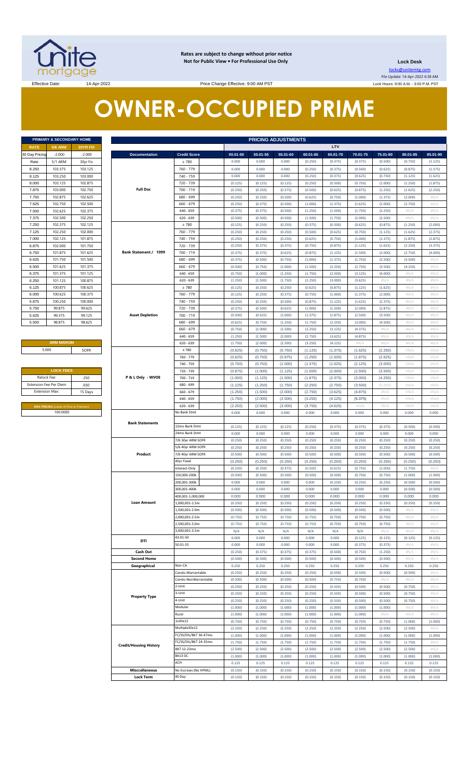

**Rates are subject to change without prior notice Not for Public View • For Professional Use Only** 

**Lock Desk** locks@unitemtg.com

File Update: 14-Apr-2022 6:38 AM Lock Hours: 9:00 A.M. - 3:00 P.M. PST

Effective Date: 14-Apr-2022 14-Apr-2022 Price Change Effective: 9:00 AM PST

# **OWNER-OCCUPIED PRIME**

| PRIMARY & SECONDARY HOME |                |                 |  |  |  |  |
|--------------------------|----------------|-----------------|--|--|--|--|
| <b>RATE</b>              | <b>5/6 ARM</b> | <b>30YR FIX</b> |  |  |  |  |
| 30 Day Pricing           | $-2.000$       | $-2.000$        |  |  |  |  |
| Rate                     | 5/1 ARM        | 30yr Fix        |  |  |  |  |
| 8.250                    | 103.375        | 103.125         |  |  |  |  |
| 8.125                    | 103.250        | 103.000         |  |  |  |  |
| 8.000                    | 103.125        | 102.875         |  |  |  |  |
| 7.875                    | 103.000        | 102.750         |  |  |  |  |
| 7.750                    | 102.875        | 102.625         |  |  |  |  |
| 7.625                    | 102.750        | 102.500         |  |  |  |  |
| 7.500                    | 102.625        | 102.375         |  |  |  |  |
| 7.375                    | 102.500        | 102.250         |  |  |  |  |
| 7.250                    | 102.375        | 102.125         |  |  |  |  |
| 7.125                    | 102.250        | 102.000         |  |  |  |  |
| 7.000                    | 102.125        | 101.875         |  |  |  |  |
| 6.875                    | 102.000        | 101.750         |  |  |  |  |
| 6.750                    | 101.875        | 101.625         |  |  |  |  |
| 6.625                    | 101.750        | 101.500         |  |  |  |  |
| 6,500                    | 101.625        | 101.375         |  |  |  |  |
| 6.375                    | 101.375        | 101.125         |  |  |  |  |
| 6.250                    | 101.125        | 100.875         |  |  |  |  |
| 6.125                    | 100.875        | 100.625         |  |  |  |  |
| 6.000                    | 100.625        | 100.375         |  |  |  |  |
| 5.875                    | 100.250        | 100.000         |  |  |  |  |
| 5.750                    | 99.875         | 99.625          |  |  |  |  |
| 5.625                    | 99.375         | 99.125          |  |  |  |  |
| 5.500                    | 98.875         | 98.625          |  |  |  |  |

| <b>ARM MARGIN</b> |      |  |  |  |  |
|-------------------|------|--|--|--|--|
| 5.000             | SOFR |  |  |  |  |

| <b>LOCK FEES</b>              |         |  |  |  |  |
|-------------------------------|---------|--|--|--|--|
| Relock Fee:                   | .250    |  |  |  |  |
| <b>Extension Fee Per Diem</b> | .030    |  |  |  |  |
| <b>Extension Max:</b>         | 15 Days |  |  |  |  |

|                        | PRIMARY & SECONDARY HOME                |                    | <b>PRICING ADJUSTMENTS</b>    |                                        |                    |                    |                    |                    |                    |                    |                    |                    |                    |
|------------------------|-----------------------------------------|--------------------|-------------------------------|----------------------------------------|--------------------|--------------------|--------------------|--------------------|--------------------|--------------------|--------------------|--------------------|--------------------|
| <b>RATE</b>            | <b>5/6 ARM</b>                          | 30YR FIX           |                               |                                        |                    |                    |                    |                    | LTV                |                    |                    |                    |                    |
| 30 Day Pricing         | $-2.000$                                | $-2.000$           | <b>Documentation</b>          | <b>Credit Score</b>                    | 00.01-50           | 50.01-55           | 55.01-60           | 60.01-65           | 65.01-70           | 70.01-75           | 75.01-80           | 80.01-85           | 85.01-90           |
| Rate                   | 5/1 ARM                                 | 30yr Fix           |                               | $\geq 780$                             | 0.000              | 0.000              | 0.000              | (0.250)            | (0.375)            | (0.375)            | (0.500)            | (0.750)            | (1.125)            |
| 8.250                  | 103.375                                 | 103.125            |                               | 760 - 779                              | 0.000              | 0.000              | 0.000              | (0.250)            | (0.375)            | (0.500)            | (0.625)            | (0.875)            | (1.375)            |
| 8.125<br>8.000         | 103.250<br>103.125                      | 103.000<br>102.875 |                               | 740 - 759<br>720 - 739                 | 0.000<br>(0.125)   | 0.000<br>(0.125)   | 0.000<br>(0.125)   | (0.250)<br>(0.250) | (0.375)<br>(0.500) | (0.625)<br>(0.750) | (0.750)<br>(1.000) | (1.125)<br>(1.250) | (1.625)<br>(1.875) |
| 7.875                  | 103.000                                 | 102.750            | <b>Full Doc</b>               | 700 - 719                              | (0.250)            | (0.250)            | (0.375)            | (0.500)            | (0.625)            | (0.875)            | (1.250)            | (1.625)            | (2.250)            |
| 7.750                  | 102.875                                 | 102.625            |                               | 680 - 699                              | (0.250)            | (0.250)            | (0.500)            | (0.625)            | (0.750)            | (1.000)            | (1.375)            | (2.000)            | $\#N/A$            |
| 7.625                  | 102.750                                 | 102.500            |                               | 660 - 679                              | (0.250)            | (0.375)            | (0.500)            | (1.000)            | (1.375)            | (1.625)            | (2.000)            | (2.750)            | H N/A              |
| 7.500                  | 102.625                                 | 102.375            |                               | $640 - 659$                            | (0.375)            | (0.375)            | (0.500)            | (1.250)            | (1.500)            | (1.750)            | (2.250)            | $\#N/A$            | $\#N/A$            |
| 7.375                  | 102.500                                 | 102.250            |                               | $620 - 639$                            | (0.500)            | (0.500)            | (0.500)            | (1.500)            | (1.750)            | (2.000)            | (2.500)            | $\#N/A$            | H N/A              |
| 7.250                  | 102.375                                 | 102.125            |                               | $\geq 780$                             | (0.125)            | (0.250)            | (0.250)            | (0.375)            | (0.500)            | (0.625)            | (0.875)            | (1.250)            | (2.000)            |
| 7.125                  | 102.250                                 | 102.000            |                               | 760 - 779                              | (0.250)            | (0.250)            | (0.250)            | (0.500)            | (0.625)            | (0.750)            | (1.125)            | (1.625)            | (2.375)            |
| 7.000<br>6.875         | 102.125<br>102.000                      | 101.875<br>101.750 |                               | 740 - 759<br>720 - 739                 | (0.250)<br>(0.250) | (0.250)<br>(0.375) | (0.250)<br>(0.375) | (0.625)<br>(0.750) | (0.750)<br>(0.875) | (1.000)<br>(1.125) | (1.375)<br>(1.625) | (1.875)<br>(2.250) | (2.875)<br>(3.375) |
| 6.750                  | 101.875                                 | 101.625            | Bank Statement / 1099         | 700 - 719                              | (0.375)            | (0.375)            | (0.625)            | (0.875)            | (1.125)            | (1.500)            | (2.000)            | (2.750)            | (4.000)            |
| 6.625                  | 101.750                                 | 101.500            |                               | 680 - 699                              | (0.375)            | (0.500)            | (0.750)            | (1.000)            | (1.375)            | (1.750)            | (2.500)            | (3.500)            | #N/A               |
| 6.500                  | 101.625                                 | 101.375            |                               | 660 - 679                              | (0.500)            | (0.750)            | (1.000)            | (1.500)            | (2.250)            | (2.750)            | (3.500)            | (4.250)            | H N/A              |
| 6.375                  | 101.375                                 | 101.125            |                               | $640 - 659$                            | (0.750)            | (1.000)            | (1.250)            | (1.750)            | (2.500)            | (3.125)            | (4.000)            | #N/A               | H N/A              |
| 6.250                  | 101.125                                 | 100.875            |                               | $620 - 639$                            | (1.250)            | (1.500)            | (1.750)            | (2.250)            | (3.000)            | (3.625)            | #N/A               | #N/A               | H N/A              |
| 6.125                  | 100.875                                 | 100.625            |                               | $\geq 780$                             | (0.125)            | (0.250)            | (0.250)            | (0.625)            | (0.875)            | (1.125)            | (1.625)            | #N/A               | #N/A               |
| 6.000<br>5.875         | 100.625<br>100.250                      | 100.375<br>100.000 |                               | 760 - 779<br>740 - 759                 | (0.125)<br>(0.250) | (0.250)<br>(0.250) | (0.375)<br>(0.500) | (0.750)<br>(0.875) | (1.000)<br>(1.125) | (1.375)<br>(1.625) | (2.000)<br>(2.375) | #N/A<br>#N/A       | H N/A<br>H N/A     |
| 5.750                  | 99.875                                  | 99.625             |                               | 720 - 739                              | (0.375)            | (0.500)            | (0.625)            | (1.000)            | (1.500)            | (2.000)            | (2.875)            | $\#N/A$            | H N/A              |
| 5.625                  | 99.375                                  | 99.125             | <b>Asset Depletion</b>        | 700 - 719                              | (0.500)            | (0.625)            | (1.000)            | (1.375)            | (1.875)            | (2.500)            | (3.500)            | #N/A               | H N/A              |
| 5.500                  | 98.875                                  | 98.625             |                               | 680 - 699                              | (0.625)            | (0.750)            | (1.250)            | (1.750)            | (2.250)            | (3.000)            | (4.500)            | $\#N/A$            | H N/A              |
|                        |                                         |                    |                               | 660 - 679                              | (0.750)            | (1.000)            | (1.500)            | (2.250)            | (3.125)            | (4.375)            | $\#N/A$            | #N/A               | H N/A              |
|                        |                                         |                    |                               | $640 - 659$                            | (1.250)            | (1.500)            | (2.000)            | (2.750)            | (3.625)            | (4.875)            | H N/A              | $\#N/A$            | H N/A              |
|                        | <b>ARM MARGIN</b>                       |                    |                               | $620 - 639$                            | (1.750)            | (2.000)            | (2.500)            | (3.250)            | (4.125)            | #N/A               | H N/A              | #N/A               | H N/A              |
|                        | 5.000                                   | SOFR               |                               | $\geq 780$                             | (0.625)            | (0.750)            | (0.750)            | (1.125)            | (1.375)            | (1.625)            | (2.250)            | #N/A               | #N/A               |
|                        |                                         |                    |                               | 760 - 779<br>740 - 759                 | (0.625)<br>(0.750) | (0.750)<br>(0.750) | (0.875)<br>(1.000) | (1.250)<br>(1.375) | (1.500)<br>(1.625) | (1.875)<br>(2.125) | (2.625)<br>(3.000) | #N/A<br>#N/A       | #N/A<br>#N/A       |
|                        | <b>LOCK FEES</b>                        |                    |                               | 720 - 739                              | (0.875)            | (1.000)            | (1.125)            | (1.500)            | (2.000)            | (2.500)            | (3.500)            | #N/A               | #N/A               |
| Relock Fee:            |                                         | .250               | P & L Only - WVOE             | 700 - 719                              | (1.000)            | (1.125)            | (1.500)            | (1.875)            | (2.375)            | (3.000)            | (4.250)            | #N/A               | #N/A               |
| Extension Fee Per Diem |                                         | .030               |                               | 680 - 699                              | (1.125)            | (1.250)            | (1.750)            | (2.250)            | (2.750)            | (3.500)            | (5.000)            | #N/A               | #N/A               |
| <b>Extension Max:</b>  |                                         | 15 Days            |                               | $660 - 679$                            | (1.250)            | (1.500)            | (2.000)            | (2.750)            | (3.625)            | (4.875)            | #N/A               | #N/A               | #N/A               |
|                        | MAX PRICING (Lower of Price or Premium) |                    |                               | $640 - 659$<br>$620 - 639$             | (1.750)<br>(2.250) | (2.000)<br>(2.500) | (2.500)<br>(3.000) | (3.250)<br>(3.750) | (4.125)<br>(4.625) | (5.375)<br>#N/A    | #N/A<br>$\#N/A$    | #N/A<br>#N/A       | #N/A<br>#N/A       |
|                        | 100.0000                                |                    |                               | No Bank Stmt                           | 0.000              | 0.000              | 0.000              | 0.000              | 0.000              | 0.000              | 0.000              | 0.000              | 0.000              |
|                        |                                         |                    | <b>Bank Statements</b>        |                                        |                    |                    |                    |                    |                    |                    |                    |                    |                    |
|                        |                                         |                    |                               | 12mo Bank Stmt                         | (0.125)            | (0.125)            | (0.125)            | (0.250)            | (0.375)            | (0.375)            | (0.375)            | (0.500)            | (0.500)            |
|                        |                                         |                    |                               | 24mo Bank Stmt                         | 0.000              | 0.000              | 0.000              | 0.000              | 0.000              | 0.000              | 0.000              | 0.000              | 0.000              |
|                        |                                         |                    |                               | 7/6 30yr ARM SOFR<br>5/6 40yr ARM SOFR | (0.250)<br>(0.250) | (0.250)            | (0.250)<br>(0.250) | (0.250)<br>(0.250) | (0.250)<br>(0.250) | (0.250)<br>(0.250) | (0.250)            | (0.250)<br>(0.250) | (0.250)<br>(0.250) |
|                        |                                         |                    | Product                       | 7/6 40yr ARM SOFR                      | (0.500)            | (0.250)<br>(0.500) | (0.500)            | (0.500)            | (0.500)            | (0.500)            | (0.250)<br>(0.500) | (0.500)            | (0.500)            |
|                        |                                         |                    |                               | 40yr Fixed                             | (0.250)            | (0.250)            | (0.250)            | (0.250)            | (0.250)            | (0.250)            | (0.250)            | (0.250)            | (0.250)            |
|                        |                                         |                    |                               | Interest-Only                          | (0.250)            | (0.250)            | (0.375)            | (0.500)            | (0.625)            | (0.750)            | (1.000)            | (1.750)            | #N/A               |
|                        |                                         |                    |                               | 150,000-200k                           | (0.500)            | (0.500)            | (0.500)            | (0.500)            | (0.500)            | (0.750)            | (0.750)            | (1.000)            | (1.000)            |
|                        |                                         |                    |                               | 200,001-300k                           | 0.000              | 0.000              | 0.000              | 0.000              | (0.250)            | (0.250)            | (0.250)            | (0.500)            | (0.500)            |
|                        |                                         |                    |                               | 300,001-400k<br>400,001-1,000,000      | 0.000<br>0.000     | 0.000<br>0.000     | 0.000<br>0.000     | 0.000<br>0.000     | 0.000<br>0.000     | 0.000<br>0.000     | 0.000<br>0.000     | (0.500)<br>0.000   | (0.500)<br>0.000   |
|                        |                                         |                    | <b>Loan Amount</b>            | 1,000,001-1.5m                         | (0.250)            | (0.250)            | (0.250)            | (0.250)            | (0.250)            | (0.250)            | (0.250)            | (0.250)            | (0.250)            |
|                        |                                         |                    |                               | 1,500,001-2.0m                         | (0.500)            | (0.500)            | (0.500)            | (0.500)            | (0.500)            | (0.500)            | (0.500)            | #N/A               | #N/A               |
|                        |                                         |                    |                               | 2,000,001-2.5m                         | (0.750)            | (0.750)            | (0.750)            | (0.750)            | (0.750)            | (0.750)            | (0.750)            | #N/A               | H N/A              |
|                        |                                         |                    |                               | 2,500,001-3.0m                         | (0.750)            | (0.750)            | (0.750)            | (0.750)            | (0.750)            | (0.750)            | (0.750)            | #N/A               | #N/A               |
|                        |                                         |                    |                               | 3,000,001-3.5m                         | N/A                | N/A                | N/A                | N/A                | N/A                | N/A                | H N/A              | #N/A               | H N/A              |
|                        |                                         |                    | DTI                           | 43.01-50<br>50.01-55                   | 0.000<br>0.000     | 0.000<br>0.000     | 0.000<br>0.000     | 0.000<br>0.000     | 0.000<br>0.000     | (0.125)<br>(0.375) | (0.125)<br>(0.375) | (0.125)            | (0.125)            |
|                        |                                         |                    | Cash Out                      |                                        | (0.250)            | (0.375)            | (0.375)            | (0.375)            | (0.500)            | (0.750)            | (1.250)            | #N/A<br>#N/A       | #N/A<br>#N/A       |
|                        |                                         |                    | <b>Second Home</b>            |                                        | (0.500)            | (0.500)            | (0.500)            | (0.500)            | (0.500)            | (0.500)            | (0.500)            | $\#N/A$            | H N/A              |
|                        |                                         |                    | Geographical                  | Non-CA                                 | 0.250              | 0.250              | 0.250              | 0.250              | 0.250              | 0.250              | 0.250              | 0.250              | 0.250              |
|                        |                                         |                    |                               | Condo-Warrantable                      | (0.250)            | (0.250)            | (0.250)            | (0.250)            | (0.500)            | (0.500)            | (0.500)            | (0.500)            | #N/A               |
|                        |                                         |                    |                               | Condo-NonWarrantable                   | (0.500)            | (0.500)            | (0.500)            | (0.500)            | (0.750)            | (0.750)            | H N/A              | $\#N/A$            | #N/A               |
|                        |                                         |                    |                               | 2-Unit<br>3-Unit                       | (0.250)<br>(0.250) | (0.250)<br>(0.250) | (0.250)<br>(0.250) | (0.250)<br>(0.250) | (0.500)<br>(0.500) | (0.500)<br>(0.500) | (0.500)<br>(0.500) | (0.750)<br>(0.750) | #N/A<br>#N/A       |
|                        |                                         |                    | <b>Property Type</b>          | 4-Unit                                 | (0.250)            | (0.250)            | (0.250)            | (0.250)            | (0.500)            | (0.500)            | (0.500)            | (0.750)            | H N/A              |
|                        |                                         |                    |                               | Modular                                | (1.000)            | (1.000)            | (1.000)            | (1.000)            | (1.000)            | (1.000)            | (1.000)            | #N/A               | #N/A               |
|                        |                                         |                    |                               | Rural                                  | (1.000)            | (1.000)            | (1.000)            | (1.000)            | (1.000)            | (1.000)            | #N/A               | #N/A               | H N/A              |
|                        |                                         |                    |                               | 1x30x12                                | (0.750)            | (0.750)            | (0.750)            | (0.750)            | (0.750)            | (0.750)            | (0.750)            | (1.000)            | (1.000)            |
|                        |                                         |                    |                               | Multiple30x12<br>C/SS/DIL/BK7 36-47mo  | (2.250)            | (2.250)            | (2.250)            | (2.250)            | (2.250)            | (2.250)            | (2.500)            | (2.500)            | H N/A              |
|                        |                                         |                    |                               | FC/SS/DIL/BK7 24-35mo                  | (1.000)<br>(1.750) | (1.000)<br>(1.750) | (1.000)<br>(1.750) | (1.000)<br>(1.750) | (1.000)<br>(1.750) | (1.000)<br>(1.750) | (1.000)<br>(1.750) | (1.000)<br>(1.750) | (1.000)<br>#N/A    |
|                        |                                         |                    | <b>Credit/Housing History</b> | BK7 12-23mo                            | (2.500)            | (2.500)            | (2.500)            | (2.500)            | (2.500)            | (2.500)            | (2.500)            | (2.500)            | #N/A               |
|                        |                                         |                    |                               | BK13 DC                                | (1.000)            | (1.000)            | (1.000)            | (1.000)            | (1.000)            | (1.000)            | (1.000)            | (1.000)            | (1.000)            |
|                        |                                         |                    |                               | ACH                                    | 0.125              | 0.125              | 0.125              | 0.125              | 0.125              | 0.125              | 0.125              | 0.125              | 0.125              |
|                        |                                         |                    | <b>Misccellaneous</b>         | No Escrows (No HPML)                   | (0.150)            | (0.150)            | (0.150)            | (0.150)            | (0.150)            | (0.150)            | (0.150)            | (0.150)            | (0.150)            |
|                        |                                         |                    | <b>Lock Term</b>              | 40 Day                                 | (0.150)            | (0.150)            | (0.150)            | (0.150)            | (0.150)            | (0.150)            | (0.150)            | (0.150)            | (0.150)            |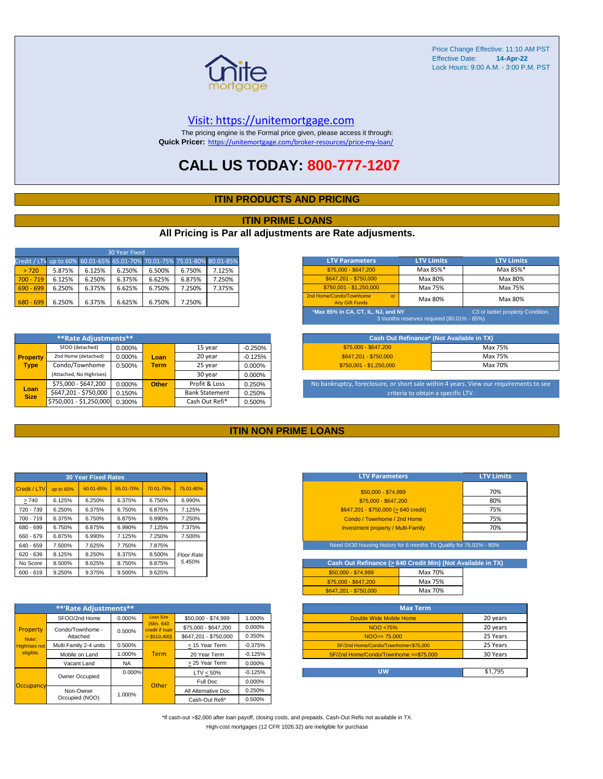

#### [V](https://unitemortgage.com/)isit: https://unitemortgage.com

The pricing engine is the Formal price given, please access it through: **Quick Pricer:** [https://un](https://unitemortgage.com/broker-resources/price-my-loan/)itemortgage.com/broker-resources/price-my-loan/

### **CALL US TODAY: 800-777-1207**

#### **ITIN PRODUCTS AND PRICING**

#### **ITIN PRIME LOANS**

#### **All Pricing is Par all adjustments are Rate adjusments.**

| 30 Year Fixed                                                            |        |        |        |        |        |        |  |
|--------------------------------------------------------------------------|--------|--------|--------|--------|--------|--------|--|
| Credit / LTV up to 60% 60.01-65% 65.01-70% 70.01-75% 75.01-80% 80.01-85% |        |        |        |        |        |        |  |
| > 720                                                                    | 5.875% | 6.125% | 6.250% | 6.500% | 6.750% | 7.125% |  |
| $700 - 719$                                                              | 6.125% | 6.250% | 6.375% | 6.625% | 6.875% | 7.250% |  |
| $690 - 699$                                                              | 6.250% | 6.375% | 6.625% | 6.750% | 7.250% | 7.375% |  |
| $680 - 699$                                                              | 6.250% | 6.375% | 6.625% | 6.750% | 7.250% |        |  |

|                     | **Rate Adjustments**     |        |              |                       |           |
|---------------------|--------------------------|--------|--------------|-----------------------|-----------|
|                     | SFOO (detached)          | 0.000% |              | 15 year               | $-0.250%$ |
| <b>Property</b>     | 2nd Home (detached)      | 0.000% | Loan         | 20 year               | $-0.125%$ |
| <b>Type</b>         | Condo/Townhome           | 0.500% | <b>Term</b>  | 25 year               | 0.000%    |
|                     | (Attached, No Highrises) |        |              | 30 year               | 0.000%    |
|                     | \$75,000 - \$647,200     | 0.000% | <b>Other</b> | Profit & Loss         | 0.250%    |
| Loan<br><b>Size</b> | \$647,201 - \$750,000    | 0.150% |              | <b>Bank Statement</b> | 0.250%    |
|                     | \$750,001 - \$1,250,000  | 0.300% |              | Cash Out Refi*        | 0.500%    |

| <b>LTV Parameters</b>                                                                                               | <b>LTV Limits</b> | <b>LTV Limits</b> |  |  |  |  |
|---------------------------------------------------------------------------------------------------------------------|-------------------|-------------------|--|--|--|--|
| \$75,000 - \$647,200                                                                                                | Max 85%*          | Max 85%*          |  |  |  |  |
| \$647.201 - \$750.000                                                                                               | Max 80%           | Max 80%           |  |  |  |  |
| $$750,001 - $1,250,000$                                                                                             | Max 75%           | Max 75%           |  |  |  |  |
| 2nd Home/Condo/Townhome<br>$\alpha$<br><b>Any Gift Funds</b>                                                        | Max 80%           | Max 80%           |  |  |  |  |
| *Max 85% in CA, CT, IL, NJ, and NY<br>C3 or better property Condition.<br>3 months reserves required (80.01% - 85%) |                   |                   |  |  |  |  |

| Cash Out Refinance* (Not Available in TX) |         |  |  |  |  |
|-------------------------------------------|---------|--|--|--|--|
| \$75,000 - \$647,200                      | Max 75% |  |  |  |  |
| \$647.201 - \$750.000                     | Max 75% |  |  |  |  |
| $$750.001 - $1.250.000$                   | Max 70% |  |  |  |  |

No bankruptcy, foreclosure, or short sale within 4 years. View our requirements to see criteria to obtain a specific LTV.

#### **ITIN NON PRIME LOANS**

|              |           | <b>30 Year Fixed Rates</b> |           |           |                   |
|--------------|-----------|----------------------------|-----------|-----------|-------------------|
| Credit / LTV | up to 60% | 60.01-65%                  | 65.01-70% | 70.01-75% | 75.01-80%         |
| >740         | 6.125%    | 6.250%                     | 6.375%    | 6.750%    | 6.990%            |
| 720 - 739    | 6.250%    | 6.375%                     | 6.750%    | 6.875%    | 7.125%            |
| 700 - 719    | 6.375%    | 6.750%                     | 6.875%    | 6.990%    | 7.250%            |
| 680 - 699    | 6.750%    | 6.875%                     | 6.990%    | 7.125%    | 7.375%            |
| 660 - 679    | 6.875%    | 6.990%                     | 7.125%    | 7.250%    | 7.500%            |
| 640 - 659    | 7.500%    | 7.625%                     | 7.750%    | 7.875%    |                   |
| $620 - 639$  | 8.125%    | 8.250%                     | 8.375%    | 8.500%    | <b>Floor Rate</b> |
| No Score     | 8.500%    | 8.625%                     | 8.750%    | 8.875%    | 5.450%            |
| $600 - 619$  | 9.250%    | 9.375%                     | 9.500%    | 9.625%    |                   |

|                                                        | **'Rate Adjustments**  |           |                              |                       |           |
|--------------------------------------------------------|------------------------|-----------|------------------------------|-----------------------|-----------|
|                                                        | SFOO/2nd Home          | 0.000%    | <b>Loan Size</b>             | \$50,000 - \$74,999   | 1.000%    |
| Property<br>Note:<br><b>Highrises not</b><br>eligible. | Condo/Townhome -       | 0.500%    | (Min. 640)<br>credit if Ioan | \$75,000 - \$647,200  | 0.000%    |
|                                                        | Attached               |           | $>$ \$510,400)               | \$647.201 - \$750.000 | 0.350%    |
|                                                        | Multi Family 2-4 units | 0.500%    |                              | < 15 Year Term        | $-0.375%$ |
|                                                        | Mobile on Land         | 1.000%    | <b>Term</b>                  | 20 Year Term          | $-0.125%$ |
|                                                        | Vacant Land            | <b>NA</b> |                              | > 25 Year Term        | 0.000%    |
|                                                        | Owner Occupied         | $0.000\%$ |                              | $LTV < 50\%$          | $-0.125%$ |
|                                                        |                        |           | Other                        | Full Doc              | 0.000%    |
| Occupancy                                              | Non-Owner              | 1.000%    |                              | All Alternative Doc   | 0.250%    |
|                                                        | Occupied (NOO)         |           |                              | Cash-Out Refi*        | 0.500%    |

| <b>LTV Parameters</b>                        | <b>LTV Limits</b> |
|----------------------------------------------|-------------------|
| \$50,000 - \$74,999                          | 70%               |
| \$75,000 - \$647,200                         | 80%               |
| $$647,201 - $750,000 (> 640 \text{ credit})$ | 75%               |
| Condo / Townhome / 2nd Home                  | 75%               |
| <b>Investment property / Multi-Family</b>    | 70%               |
|                                              |                   |

Need 0X30 housing history for 6 months To Qualify for 75.01% - 80%

| Cash Out Refinance (> 640 Credit Min) (Not Available in TX) |         |  |  |  |  |  |  |  |  |  |  |
|-------------------------------------------------------------|---------|--|--|--|--|--|--|--|--|--|--|
| $$50.000 - $74.999$                                         | Max 70% |  |  |  |  |  |  |  |  |  |  |
| \$75,000 - \$647,200                                        | Max 75% |  |  |  |  |  |  |  |  |  |  |
| \$647.201 - \$750.000                                       | Max 70% |  |  |  |  |  |  |  |  |  |  |

| <b>Max Term</b>                       |          |  |  |  |  |  |  |  |  |  |
|---------------------------------------|----------|--|--|--|--|--|--|--|--|--|
| Double Wide Mobile Home               | 20 years |  |  |  |  |  |  |  |  |  |
| NOO <75%                              | 20 years |  |  |  |  |  |  |  |  |  |
| $NOO > = 75.000$                      | 25 Years |  |  |  |  |  |  |  |  |  |
| SF/2nd Home/Condo/Townhome<\$75.000   | 25 Years |  |  |  |  |  |  |  |  |  |
| SF/2nd Home/Condo/Townhome >=\$75,000 | 30 Years |  |  |  |  |  |  |  |  |  |
|                                       |          |  |  |  |  |  |  |  |  |  |
| UW                                    | \$1.795  |  |  |  |  |  |  |  |  |  |

\*If cash-out >\$2,000 after loan payoff, closing costs, and prepaids. Cash-Out Refis not available in TX. High-cost mortgages (12 CFR 1026.32) are ineligible for purchase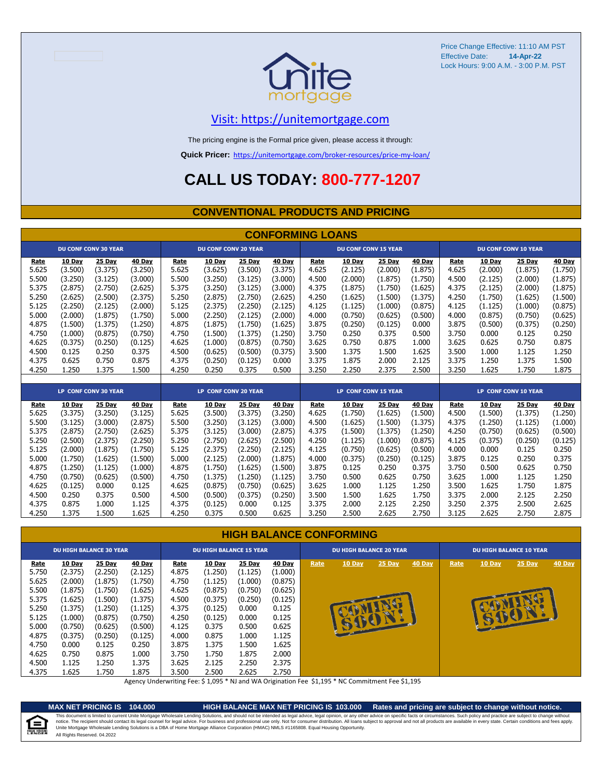

### [V](https://unitemortgage.com/)isit: https://unitemortgage.com

The pricing engine is the Formal price given, please access it through:

**Quick Pricer:** [https://un](https://unitemortgage.com/broker-resources/price-my-loan/)itemortgage.com/broker-resources/price-my-loan/

### **CALL US TODAY: 800-777-1207**

#### **CONVENTIONAL PRODUCTS AND PRICING**

|       | <b>CONFORMING LOANS</b>     |                             |               |                             |         |               |                             |       |         |               |                      |                             |               |               |               |
|-------|-----------------------------|-----------------------------|---------------|-----------------------------|---------|---------------|-----------------------------|-------|---------|---------------|----------------------|-----------------------------|---------------|---------------|---------------|
|       | <b>DU CONF CONV 30 YEAR</b> |                             |               | <b>DU CONF CONV 20 YEAR</b> |         |               | <b>DU CONF CONV 15 YEAR</b> |       |         |               |                      | <b>DU CONF CONV 10 YEAR</b> |               |               |               |
| Rate  | 10 Day                      | <b>25 Day</b>               | 40 Day        | Rate                        | 10 Day  | 25 Day        | 40 Day                      | Rate  | 10 Day  | 25 Day        | 40 Day               | Rate                        | <b>10 Day</b> | 25 Day        | 40 Day        |
| 5.625 | (3.500)                     | (3.375)                     | (3.250)       | 5.625                       | (3.625) | (3.500)       | (3.375)                     | 4.625 | (2.125) | (2.000)       | (1.875)              | 4.625                       | (2.000)       | (1.875)       | (1.750)       |
| 5.500 | (3.250)                     | (3.125)                     | (3.000)       | 5.500                       | (3.250) | (3.125)       | (3.000)                     | 4.500 | (2.000) | (1.875)       | (1.750)              | 4.500                       | (2.125)       | (2.000)       | (1.875)       |
| 5.375 | (2.875)                     | (2.750)                     | (2.625)       | 5.375                       | (3.250) | (3.125)       | (3.000)                     | 4.375 | (1.875) | (1.750)       | (1.625)              | 4.375                       | (2.125)       | (2.000)       | (1.875)       |
| 5.250 | (2.625)                     | (2.500)                     | (2.375)       | 5.250                       | (2.875) | (2.750)       | (2.625)                     | 4.250 | (1.625) | (1.500)       | (1.375)              | 4.250                       | (1.750)       | (1.625)       | (1.500)       |
| 5.125 | (2.250)                     | (2.125)                     | (2.000)       | 5.125                       | (2.375) | (2.250)       | (2.125)                     | 4.125 | (1.125) | (1.000)       | (0.875)              | 4.125                       | (1.125)       | (1.000)       | (0.875)       |
| 5.000 | (2.000)                     | (1.875)                     | (1.750)       | 5.000                       | (2.250) | (2.125)       | (2.000)                     | 4.000 | (0.750) | (0.625)       | (0.500)              | 4.000                       | (0.875)       | (0.750)       | (0.625)       |
| 4.875 | (1.500)                     | (1.375)                     | (1.250)       | 4.875                       | (1.875) | (1.750)       | (1.625)                     | 3.875 | (0.250) | (0.125)       | 0.000                | 3.875                       | (0.500)       | (0.375)       | (0.250)       |
| 4.750 | (1.000)                     | (0.875)                     | (0.750)       | 4.750                       | (1.500) | (1.375)       | (1.250)                     | 3.750 | 0.250   | 0.375         | 0.500                | 3.750                       | 0.000         | 0.125         | 0.250         |
| 4.625 | (0.375)                     | (0.250)                     | (0.125)       | 4.625                       | (1.000) | (0.875)       | (0.750)                     | 3.625 | 0.750   | 0.875         | 1.000                | 3.625                       | 0.625         | 0.750         | 0.875         |
| 4.500 | 0.125                       | 0.250                       | 0.375         | 4.500                       | (0.625) | (0.500)       | (0.375)                     | 3.500 | 1.375   | 1.500         | 1.625                | 3.500                       | 1.000         | 1.125         | 1.250         |
| 4.375 | 0.625                       | 0.750                       | 0.875         | 4.375                       | (0.250) | (0.125)       | 0.000                       | 3.375 | 1.875   | 2.000         | 2.125                | 3.375                       | 1.250         | 1.375         | 1.500         |
| 4.250 | 1.250                       | 1.375                       | 1.500         | 4.250                       | 0.250   | 0.375         | 0.500                       | 3.250 | 2.250   | 2.375         | 2.500                | 3.250                       | 1.625         | 1.750         | 1.875         |
|       |                             |                             |               |                             |         |               |                             |       |         |               |                      |                             |               |               |               |
|       |                             | <b>LP CONF CONV 30 YEAR</b> |               | LP CONF CONV 20 YEAR        |         |               | <b>LP CONF CONV 15 YEAR</b> |       |         |               | LP CONF CONV 10 YEAR |                             |               |               |               |
| Rate  | <b>10 Day</b>               | 25 Day                      | <b>40 Day</b> | Rate                        | 10 Day  | <b>25 Day</b> | <b>40 Day</b>               | Rate  | 10 Day  | <b>25 Day</b> | <b>40 Day</b>        | Rate                        | <b>10 Day</b> | <b>25 Day</b> | <b>40 Day</b> |
| 5.625 | (3.375)                     | (3.250)                     | (3.125)       | 5.625                       | (3.500) | (3.375)       | (3.250)                     | 4.625 | (1.750) | (1.625)       | (1.500)              | 4.500                       | (1.500)       | (1.375)       | (1.250)       |
| 5.500 | (3.125)                     | (3.000)                     | (2.875)       | 5.500                       | (3.250) | (3.125)       | (3.000)                     | 4.500 | (1.625) | (1.500)       | (1.375)              | 4.375                       | (1.250)       | (1.125)       | (1.000)       |
| 5.375 | (2.875)                     | (2.750)                     | (2.625)       | 5.375                       | (3.125) | (3.000)       | (2.875)                     | 4.375 | (1.500) | (1.375)       | (1.250)              | 4.250                       | (0.750)       | (0.625)       | (0.500)       |
| 5.250 | (2.500)                     | (2.375)                     | (2.250)       | 5.250                       | (2.750) | (2.625)       | (2.500)                     | 4.250 | (1.125) | (1.000)       | (0.875)              | 4.125                       | (0.375)       | (0.250)       | (0.125)       |
| 5.125 | (2.000)                     | (1.875)                     | (1.750)       | 5.125                       | (2.375) | (2.250)       | (2.125)                     | 4.125 | (0.750) | (0.625)       | (0.500)              | 4.000                       | 0.000         | 0.125         | 0.250         |
| 5.000 | (1.750)                     | (1.625)                     | (1.500)       | 5.000                       | (2.125) | (2.000)       | (1.875)                     | 4.000 | (0.375) | (0.250)       | (0.125)              | 3.875                       | 0.125         | 0.250         | 0.375         |
| 4.875 | (1.250)                     | (1.125)                     | (1.000)       | 4.875                       | (1.750) | (1.625)       | (1.500)                     | 3.875 | 0.125   | 0.250         | 0.375                | 3.750                       | 0.500         | 0.625         | 0.750         |
| 4.750 | (0.750)                     | (0.625)                     | (0.500)       | 4.750                       | (1.375) | (1.250)       | (1.125)                     | 3.750 | 0.500   | 0.625         | 0.750                | 3.625                       | 1.000         | 1.125         | 1.250         |
| 4.625 | (0.125)                     | 0.000                       | 0.125         | 4.625                       | (0.875) | (0.750)       | (0.625)                     | 3.625 | 1.000   | 1.125         | 1.250                | 3.500                       | 1.625         | 1.750         | 1.875         |
| 4.500 | 0.250                       | 0.375                       | 0.500         | 4.500                       | (0.500) | (0.375)       | (0.250)                     | 3.500 | 1.500   | 1.625         | 1.750                | 3.375                       | 2.000         | 2.125         | 2.250         |
| 4.375 | 0.875                       | 1.000                       | 1.125         | 4.375                       | (0.125) | 0.000         | 0.125                       | 3.375 | 2.000   | 2.125         | 2.250                | 3.250                       | 2.375         | 2.500         | 2.625         |
| 4.250 | 1.375                       | 1.500                       | 1.625         | 4.250                       | 0.375   | 0.500         | 0.625                       | 3.250 | 2.500   | 2.625         | 2.750                | 3.125                       | 2.625         | 2.750         | 2.875         |

#### **HIGH BALANCE CONFORMING**

|                                                                                              | <b>DU HIGH BALANCE 30 YEAR</b>                                                                          |                                                                                                         |                                                                                                         | <b>DU HIGH BALANCE 15 YEAR</b>                                                        |                                                                                                            |                                                                                                 |                                                                                                        | <b>DU HIGH BALANCE 20 YEAR</b> |          |          |        | <b>DU HIGH BALANCE 10 YEAR</b> |                |          |               |  |
|----------------------------------------------------------------------------------------------|---------------------------------------------------------------------------------------------------------|---------------------------------------------------------------------------------------------------------|---------------------------------------------------------------------------------------------------------|---------------------------------------------------------------------------------------|------------------------------------------------------------------------------------------------------------|-------------------------------------------------------------------------------------------------|--------------------------------------------------------------------------------------------------------|--------------------------------|----------|----------|--------|--------------------------------|----------------|----------|---------------|--|
| <b>Rate</b><br>5.750<br>5.625<br>5.500<br>5.375<br>5.250<br>5.125<br>5.000<br>4.875<br>4.750 | 10 Day<br>(2.375)<br>(2.000)<br>(1.875)<br>(1.625)<br>(1.375)<br>(1.000)<br>(0.750)<br>(0.375)<br>0.000 | 25 Day<br>(2.250)<br>(1.875)<br>(1.750)<br>(1.500)<br>(1.250)<br>(0.875)<br>(0.625)<br>(0.250)<br>0.125 | 40 Day<br>(2.125)<br>(1.750)<br>(1.625)<br>(1.375)<br>(1.125)<br>(0.750)<br>(0.500)<br>(0.125)<br>0.250 | Rate<br>4.875<br>4.750<br>4.625<br>4.500<br>4.375<br>4.250<br>4.125<br>4.000<br>3.875 | <b>10 Day</b><br>(1.250)<br>(1.125)<br>(0.875)<br>(0.375)<br>(0.125)<br>(0.125)<br>0.375<br>0.875<br>1.375 | 25 Day<br>(1.125)<br>(1.000)<br>(0.750)<br>(0.250)<br>0.000<br>0.000<br>0.500<br>1.000<br>1.500 | <b>40 Day</b><br>(1.000)<br>(0.875)<br>(0.625)<br>(0.125)<br>0.125<br>0.125<br>0.625<br>1.125<br>1.625 | Rate                           | $10$ Day | $25$ Day | 40 Day | Rate                           | $10$ Day<br>S. | $25$ Day | <b>40 Day</b> |  |
| 4.625<br>4.500                                                                               | 0.750<br>1.125                                                                                          | 0.875<br>1.250                                                                                          | 1.000<br>1.375                                                                                          | 3.750<br>3.625                                                                        | 1.750<br>2.125                                                                                             | 1.875<br>2.250                                                                                  | 2.000<br>2.375                                                                                         |                                |          |          |        |                                |                |          |               |  |
| 4.375                                                                                        | 1.625                                                                                                   | 1.750                                                                                                   | 1.875                                                                                                   | 3.500                                                                                 | 2.500                                                                                                      | 2.625                                                                                           | 2.750                                                                                                  |                                |          |          |        |                                |                |          |               |  |

Agency Underwriting Fee: \$ 1,095 \* NJ and WA Origination Fee \$1,195 \* NC Commitment Fee \$1,195

e

**MAX NET PRICING IS 104.000 HIGH BALANCE MAX NET PRICING IS 103.000 Rates and pricing are subject to change without notice.** All Rights Reserved. 04.2022 This document is limited to current Unite Mortgage Wholesale Lending Solutions, and should not be intended as legal advice, legal opinion, or any other advice on specific facts or circumstances. Such policy and practice ar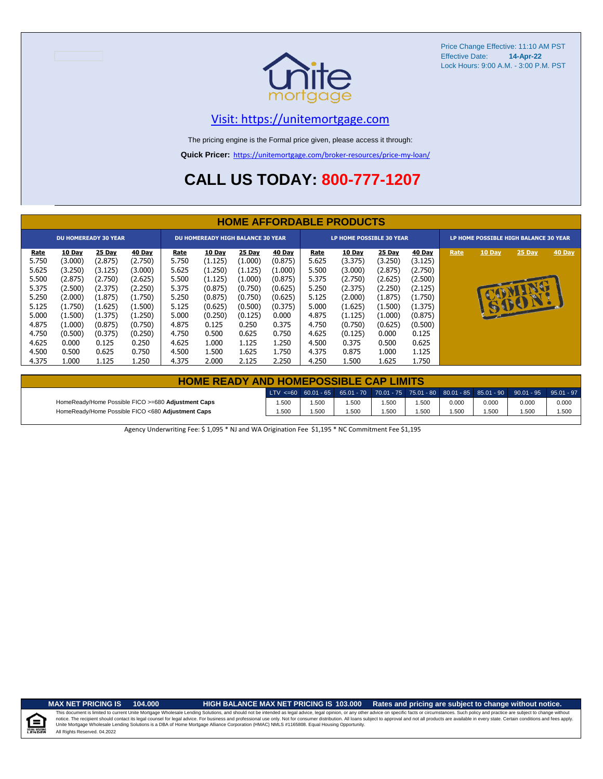

### [V](https://unitemortgage.com/)isit: https://unitemortgage.com

The pricing engine is the Formal price given, please access it through:

**Quick Pricer:** [https://un](https://unitemortgage.com/broker-resources/price-my-loan/)itemortgage.com/broker-resources/price-my-loan/

## **CALL US TODAY: 800-777-1207**

|                                                                            | <b>HOME AFFORDABLE PRODUCTS</b>                                                     |                                                                                     |                                                                                     |                                                                     |                                                                                            |                                                                                     |                                                                                          |                                                                     |                                                                                     |                                                                                            |                                                                                            |                                       |        |                      |        |
|----------------------------------------------------------------------------|-------------------------------------------------------------------------------------|-------------------------------------------------------------------------------------|-------------------------------------------------------------------------------------|---------------------------------------------------------------------|--------------------------------------------------------------------------------------------|-------------------------------------------------------------------------------------|------------------------------------------------------------------------------------------|---------------------------------------------------------------------|-------------------------------------------------------------------------------------|--------------------------------------------------------------------------------------------|--------------------------------------------------------------------------------------------|---------------------------------------|--------|----------------------|--------|
| <b>DU HOMEREADY 30 YEAR</b>                                                |                                                                                     |                                                                                     |                                                                                     | <b>DU HOMEREADY HIGH BALANCE 30 YEAR</b>                            |                                                                                            |                                                                                     |                                                                                          |                                                                     | LP HOME POSSIBLE 30 YEAR                                                            |                                                                                            |                                                                                            | LP HOME POSSIBLE HIGH BALANCE 30 YEAR |        |                      |        |
| <u>Rate</u><br>5.750<br>5.625<br>5.500<br>5.375<br>5.250<br>5.125<br>5.000 | 10 Day<br>(3.000)<br>(3.250)<br>(2.875)<br>(2.500)<br>(2.000)<br>(1.750)<br>(1.500) | 25 Day<br>(2.875)<br>(3.125)<br>(2.750)<br>(2.375)<br>(1.875)<br>(1.625)<br>(1.375) | 40 Day<br>(2.750)<br>(3.000)<br>(2.625)<br>(2.250)<br>(1.750)<br>(1.500)<br>(1.250) | Rate<br>5.750<br>5.625<br>5.500<br>5.375<br>5.250<br>5.125<br>5.000 | <b>10 Day</b><br>(1.125)<br>(1.250)<br>(1.125)<br>(0.875)<br>(0.875)<br>(0.625)<br>(0.250) | 25 Day<br>(1.000)<br>(1.125)<br>(1.000)<br>(0.750)<br>(0.750)<br>(0.500)<br>(0.125) | <b>40 Day</b><br>(0.875)<br>(1.000)<br>(0.875)<br>(0.625)<br>(0.625)<br>(0.375)<br>0.000 | Rate<br>5.625<br>5.500<br>5.375<br>5.250<br>5.125<br>5.000<br>4.875 | 10 Day<br>(3.375)<br>(3.000)<br>(2.750)<br>(2.375)<br>(2.000)<br>(1.625)<br>(1.125) | <b>25 Day</b><br>(3.250)<br>(2.875)<br>(2.625)<br>(2.250)<br>(1.875)<br>(1.500)<br>(1.000) | <b>40 Day</b><br>(3.125)<br>(2.750)<br>(2.500)<br>(2.125)<br>(1.750)<br>(1.375)<br>(0.875) | Rate                                  | 10 Day | 25 Day<br>G<br>16401 | 40 Day |
| 4.875<br>4.750<br>4.625<br>4.500<br>4.375                                  | (1.000)<br>(0.500)<br>0.000<br>0.500<br>1.000                                       | (0.875)<br>(0.375)<br>0.125<br>0.625<br>1.125                                       | (0.750)<br>(0.250)<br>0.250<br>0.750<br>1.250                                       | 4.875<br>4.750<br>4.625<br>4.500<br>4.375                           | 0.125<br>0.500<br>1.000<br>1.500<br>2.000                                                  | 0.250<br>0.625<br>1.125<br>1.625<br>2.125                                           | 0.375<br>0.750<br>1.250<br>1.750<br>2.250                                                | 4.750<br>4.625<br>4.500<br>4.375<br>4.250                           | (0.750)<br>(0.125)<br>0.375<br>0.875<br>1.500                                       | (0.625)<br>0.000<br>0.500<br>1.000<br>1.625                                                | (0.500)<br>0.125<br>0.625<br>1.125<br>1.750                                                |                                       |        |                      |        |

| <b>HOME READY AND HOMEPOSSIBLE CAP LIMITS</b>      |       |      |       |       |      |       |       |                                                                                                  |       |  |
|----------------------------------------------------|-------|------|-------|-------|------|-------|-------|--------------------------------------------------------------------------------------------------|-------|--|
|                                                    |       |      |       |       |      |       |       | LTV <=60 60.01 - 65 65.01 - 70 70.01 - 75 75.01 - 80 80.01 - 85 85.01 - 90 90.01 - 95 95.01 - 97 |       |  |
| HomeReady/Home Possible FICO >=680 Adjustment Caps | 1.500 | .500 | 1.500 | 1.500 | .500 | 0.000 | 0.000 | 0.000                                                                                            | 0.000 |  |
| HomeReady/Home Possible FICO <680 Adjustment Caps  | 1.500 | .500 | 1.500 | 1.500 | .500 | 1.500 | 1.500 | 1.500                                                                                            | 1.500 |  |

Agency Underwriting Fee: \$ 1,095 \* NJ and WA Origination Fee \$1,195 \* NC Commitment Fee \$1,195

 $\equiv$ 

**MAX NET PRICING IS 104.000 HIGH BALANCE MAX NET PRICING IS 103.000 Rates and pricing are subject to change without notice.**

All Rights Reserved. 04.2022 This document is limited to current Unite Mortgage Wholesale Lending Solutions, and should not be intended as legal advice, legal opinion, or any other advice on specific facts or circumstances. Such policy and practice ar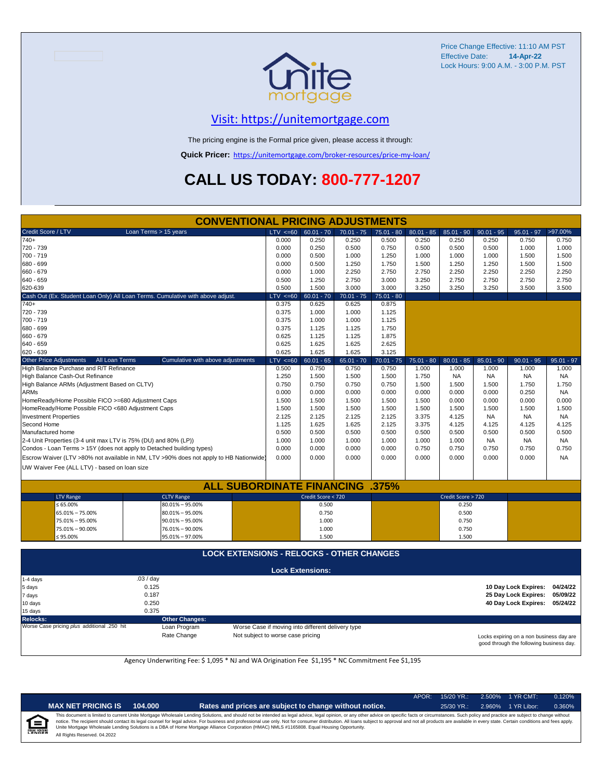

#### [V](https://unitemortgage.com/)isit: https://unitemortgage.com

The pricing engine is the Formal price given, please access it through:

**Quick Pricer:** [https://un](https://unitemortgage.com/broker-resources/price-my-loan/)itemortgage.com/broker-resources/price-my-loan/

## **CALL US TODAY: 800-777-1207**

|                                                    | <b>CONVENTIONAL PRICING ADJUSTMENTS</b>           |                                                                                        |              |                         |              |              |              |                    |              |                      |              |
|----------------------------------------------------|---------------------------------------------------|----------------------------------------------------------------------------------------|--------------|-------------------------|--------------|--------------|--------------|--------------------|--------------|----------------------|--------------|
| Credit Score / LTV                                 |                                                   | Loan Terms > 15 years                                                                  | $LTV \le 60$ | $60.01 - 70$            | $70.01 - 75$ | $75.01 - 80$ | $80.01 - 85$ | $85.01 - 90$       | $90.01 - 95$ | $95.01 - 97$         | >97.00%      |
| $740+$                                             |                                                   |                                                                                        | 0.000        | 0.250                   | 0.250        | 0.500        | 0.250        | 0.250              | 0.250        | 0.750                | 0.750        |
| 720 - 739                                          |                                                   |                                                                                        | 0.000        | 0.250                   | 0.500        | 0.750        | 0.500        | 0.500              | 0.500        | 1.000                | 1.000        |
| 700 - 719                                          |                                                   |                                                                                        | 0.000        | 0.500                   | 1.000        | 1.250        | 1.000        | 1.000              | 1.000        | 1.500                | 1.500        |
| 680 - 699                                          |                                                   |                                                                                        | 0.000        | 0.500                   | 1.250        | 1.750        | 1.500        | 1.250              | 1.250        | 1.500                | 1.500        |
| 660 - 679                                          |                                                   | 0.000                                                                                  | 1.000        | 2.250                   | 2.750        | 2.750        | 2.250        | 2.250              | 2.250        | 2.250                |              |
| 640 - 659                                          |                                                   |                                                                                        | 0.500        | 1.250                   | 2.750        | 3.000        | 3.250        | 2.750              | 2.750        | 2.750                | 2.750        |
| 620-639                                            |                                                   |                                                                                        | 0.500        | 1.500                   | 3.000        | 3.000        | 3.250        | 3.250              | 3.250        | 3.500                | 3.500        |
|                                                    |                                                   | Cash Out (Ex. Student Loan Only) All Loan Terms. Cumulative with above adjust.         | LTV < 60     | $60.01 - 70$            | $70.01 - 75$ | $75.01 - 80$ |              |                    |              |                      |              |
| $740+$                                             |                                                   |                                                                                        | 0.375        | 0.625                   | 0.625        | 0.875        |              |                    |              |                      |              |
| 720 - 739                                          |                                                   |                                                                                        | 0.375        | 1.000                   | 1.000        | 1.125        |              |                    |              |                      |              |
| 700 - 719                                          |                                                   |                                                                                        | 0.375        | 1.000                   | 1.000        | 1.125        |              |                    |              |                      |              |
| 680 - 699                                          |                                                   |                                                                                        | 0.375        | 1.125                   | 1.125        | 1.750        |              |                    |              |                      |              |
| 660 - 679                                          |                                                   |                                                                                        | 0.625        | 1.125                   | 1.125        | 1.875        |              |                    |              |                      |              |
| 640 - 659                                          |                                                   |                                                                                        | 0.625        | 1.625                   | 1.625        | 2.625        |              |                    |              |                      |              |
| 620 - 639                                          |                                                   |                                                                                        | 0.625        | 1.625                   | 1.625        | 3.125        |              |                    |              |                      |              |
| <b>Other Price Adjustments</b>                     | All Loan Terms                                    | Cumulative with above adjustments                                                      | $LTV < =60$  | $60.01 - 65$            | $65.01 - 70$ | $70.01 - 75$ | $75.01 - 80$ | $80.01 - 85$       | $85.01 - 90$ | $90.01 - 95$         | $95.01 - 97$ |
|                                                    | High Balance Purchase and R/T Refinance           |                                                                                        | 0.500        | 0.750                   | 0.750        | 0.750        | 1.000        | 1.000              | 1.000        | 1.000                | 1.000        |
|                                                    | High Balance Cash-Out Refinance                   |                                                                                        | 1.250        | 1.500                   | 1.500        | 1.500        | 1.750        | <b>NA</b>          | <b>NA</b>    | <b>NA</b>            | <b>NA</b>    |
|                                                    | High Balance ARMs (Adjustment Based on CLTV)      |                                                                                        | 0.750        | 0.750                   | 0.750        | 0.750        | 1.500        | 1.500              | 1.500        | 1.750                | 1.750        |
| <b>ARMs</b>                                        |                                                   |                                                                                        | 0.000        | 0.000                   | 0.000        | 0.000        | 0.000        | 0.000              | 0.000        | 0.250                | <b>NA</b>    |
| HomeReady/Home Possible FICO >=680 Adjustment Caps |                                                   |                                                                                        |              | 1.500                   | 1.500        | 1.500        | 1.500        | 0.000              | 0.000        | 0.000                | 0.000        |
|                                                    | HomeReady/Home Possible FICO <680 Adjustment Caps |                                                                                        | 1.500        | 1.500                   | 1.500        | 1.500        | 1.500        | 1.500              | 1.500        | 1.500                | 1.500        |
| <b>Investment Properties</b>                       |                                                   |                                                                                        | 2.125        | 2.125                   | 2.125        | 2.125        | 3.375        | 4.125              | <b>NA</b>    | <b>NA</b>            | <b>NA</b>    |
| Second Home                                        |                                                   |                                                                                        | 1.125        | 1.625                   | 1.625        | 2.125        | 3.375        | 4.125              | 4.125        | 4.125                | 4.125        |
| Manufactured home                                  |                                                   |                                                                                        | 0.500        | 0.500                   | 0.500        | 0.500        | 0.500        | 0.500              | 0.500        | 0.500                | 0.500        |
|                                                    |                                                   | 2-4 Unit Properties (3-4 unit max LTV is 75% (DU) and 80% (LP))                        | 1.000        | 1.000                   | 1.000        | 1.000        | 1.000        | 1.000              | NA.          | NA                   | NA           |
|                                                    |                                                   | Condos - Loan Terms > 15Y (does not apply to Detached building types)                  | 0.000        | 0.000                   | 0.000        | 0.000        | 0.750        | 0.750              | 0.750        | 0.750                | 0.750        |
|                                                    |                                                   | Escrow Waiver (LTV >80% not available in NM, LTV >90% does not apply to HB Nationwide) | 0.000        | 0.000                   | 0.000        | 0.000        | 0.000        | 0.000              | 0.000        | 0.000                | <b>NA</b>    |
|                                                    | UW Waiver Fee (ALL LTV) - based on loan size      |                                                                                        |              |                         |              |              |              |                    |              |                      |              |
|                                                    |                                                   |                                                                                        |              |                         |              |              |              |                    |              |                      |              |
|                                                    |                                                   | <b>ALL SUBORDINATE FINANCING</b>                                                       |              |                         |              | .375%        |              |                    |              |                      |              |
|                                                    | <b>LTV Range</b>                                  | <b>CLTV Range</b>                                                                      |              | Credit Score < 720      |              |              |              | Credit Score > 720 |              |                      |              |
|                                                    | $\leq 65.00\%$                                    | $80.01\% - 95.00\%$                                                                    |              | 0.500                   |              |              |              | 0.250              |              |                      |              |
|                                                    | 65.01% - 75.00%                                   | $80.01\% - 95.00\%$                                                                    |              | 0.750                   |              |              |              | 0.500              |              |                      |              |
|                                                    | 75.01% - 95.00%                                   | $90.01\% - 95.00\%$                                                                    |              | 1.000                   |              |              |              | 0.750              |              |                      |              |
|                                                    | 75.01% - 90.00%                                   | 76.01% - 90.00%                                                                        |              | 1.000                   |              |              |              | 0.750              |              |                      |              |
|                                                    | ≤ 95.00%<br>95.01% - 97.00%                       |                                                                                        |              |                         |              |              |              | 1.500              |              |                      |              |
|                                                    |                                                   |                                                                                        |              |                         |              |              |              |                    |              |                      |              |
| <b>LOCK EXTENSIONS - RELOCKS - OTHER CHANGES</b>   |                                                   |                                                                                        |              |                         |              |              |              |                    |              |                      |              |
|                                                    |                                                   |                                                                                        |              | <b>Lock Extensions:</b> |              |              |              |                    |              |                      |              |
| 1-4 days                                           | .03/day                                           |                                                                                        |              |                         |              |              |              |                    |              |                      |              |
| 5 days                                             | 0.125                                             |                                                                                        |              |                         |              |              |              |                    |              | 10 Day Lock Expires: | 04/24/22     |
| 7 days                                             |                                                   | 0.187                                                                                  |              |                         |              |              |              |                    |              | 25 Day Lock Expires: | 05/09/22     |
| 10 days                                            |                                                   | 0.250                                                                                  |              |                         |              |              |              |                    |              | 40 Day Lock Expires: | 05/24/22     |
| 15 days                                            |                                                   | 0.375                                                                                  |              |                         |              |              |              |                    |              |                      |              |

**Relocks: Other Changes:**

Loan Program *plus* Worse Case if moving into different delivery type

Rate Change Not subject to worse case pricing

Locks expiring on a non business day are good through the following business day.

Agency Underwriting Fee: \$ 1,095 \* NJ and WA Origination Fee \$1,195 \* NC Commitment Fee \$1,195

| i | NDE |  |
|---|-----|--|
|   |     |  |

**MAX NET PRICING IS 104.000 Rates and prices are subject to change without notice.** 25/30 YR.: 2.960% 1 YR Libor: 0.360%

APOR: 15/20 YR.: 2.500% 1 YR CMT: 0.120%

All Rights Reserved. 04.2022 This document is limited to current Unite Mortgage Wholesale Lending Solutions, and should not be intended as legal advice, legal opinion, or any other advice on specific facts or circumstances. Such policy and practice ar